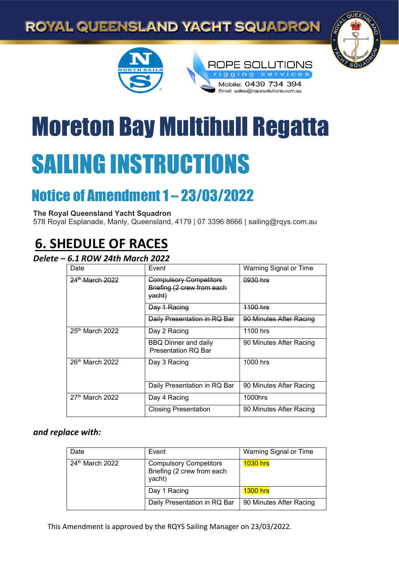## ROYAL QUEENSLAND YACHT SQUADRON







# Moreton Bay Multihull Regatta SAILING INSTRUCTIONS

## Notice of Amendment 1 – 23/03/2022

**The Royal Queensland Yacht Squadron** 

578 Royal Esplanade, Manly, Queensland, 4179 | 07 3396 8666 | sailing@rqys.com.au

## **6. SHEDULE OF RACES**

#### *Delete – 6.1 ROW 24th March 2022*

| Date                        | Event                                                                            | <b>Warning Signal or Time</b> |
|-----------------------------|----------------------------------------------------------------------------------|-------------------------------|
| 24 <sup>th</sup> March 2022 | <b>Compulsory Competitors</b><br>Briefing (2 crew from each<br><del>yacht)</del> | 0930 hrs                      |
|                             | Day 1 Racing                                                                     | <u> 1100 hrs</u>              |
|                             | Daily Presentation in RQ Bar                                                     | 90 Minutes After Racing       |
| 25 <sup>th</sup> March 2022 | Day 2 Racing                                                                     | 1100 hrs                      |
|                             | <b>BBQ Dinner and daily</b><br><b>Presentation RQ Bar</b>                        | 90 Minutes After Racing       |
| $26th$ March 2022           | Day 3 Racing                                                                     | 1000 hrs                      |
|                             | Daily Presentation in RQ Bar                                                     | 90 Minutes After Racing       |
| $27th$ March 2022           | Day 4 Racing                                                                     | 1000hrs                       |
|                             | <b>Closing Presentation</b>                                                      | 90 Minutes After Racing       |

#### *and replace with:*

| Date              | Event                                                                 | Warning Signal or Time  |
|-------------------|-----------------------------------------------------------------------|-------------------------|
| $24th$ March 2022 | <b>Compulsory Competitors</b><br>Briefing (2 crew from each<br>yacht) | <b>1030 hrs</b>         |
|                   | Day 1 Racing                                                          | <b>1300 hrs</b>         |
|                   | Daily Presentation in RQ Bar                                          | 90 Minutes After Racing |

This Amendment is approved by the RQYS Sailing Manager on 23/03/2022.